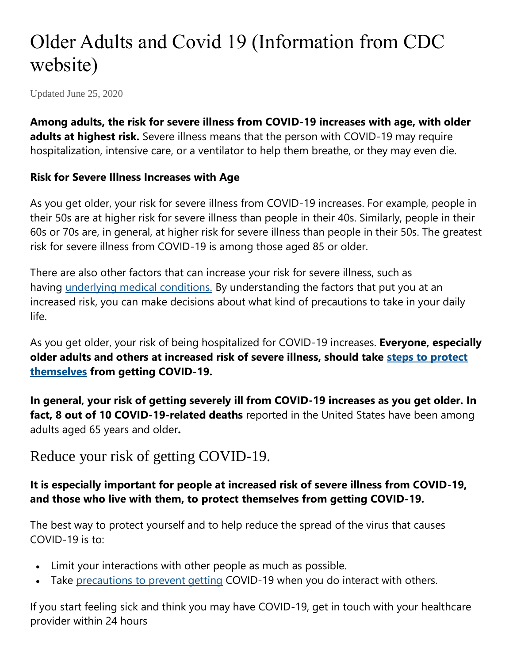# Older Adults and Covid 19 (Information from CDC website)

Updated June 25, 2020

**Among adults, the risk for severe illness from COVID-19 increases with age, with older adults at highest risk.** Severe illness means that the person with COVID-19 may require hospitalization, intensive care, or a ventilator to help them breathe, or they may even die.

#### **Risk for Severe Illness Increases with Age**

As you get older, your risk for severe illness from COVID-19 increases. For example, people in their 50s are at higher risk for severe illness than people in their 40s. Similarly, people in their 60s or 70s are, in general, at higher risk for severe illness than people in their 50s. The greatest risk for severe illness from COVID-19 is among those aged 85 or older.

There are also other factors that can increase your risk for severe illness, such as having [underlying medical conditions.](https://www.cdc.gov/coronavirus/2019-ncov/need-extra-precautions/groups-at-higher-risk.html) By understanding the factors that put you at an increased risk, you can make decisions about what kind of precautions to take in your daily life.

As you get older, your risk of being hospitalized for COVID-19 increases. **Everyone, especially older adults and others at increased risk of severe illness, should take [steps to protect](https://www.cdc.gov/coronavirus/2019-ncov/prevent-getting-sick/prevention.html)  [themselves](https://www.cdc.gov/coronavirus/2019-ncov/prevent-getting-sick/prevention.html) from getting COVID-19.**

**In general, your risk of getting severely ill from COVID-19 increases as you get older. In fact, 8 out of 10 COVID-19-related deaths** reported in the United States have been among adults aged 65 years and older**.**

### Reduce your risk of getting COVID-19.

#### **It is especially important for people at increased risk of severe illness from COVID-19, and those who live with them, to protect themselves from getting COVID-19.**

The best way to protect yourself and to help reduce the spread of the virus that causes COVID-19 is to:

- Limit your interactions with other people as much as possible.
- Take [precautions to prevent getting](https://www.cdc.gov/coronavirus/2019-ncov/prevent-getting-sick/prevention.html) COVID-19 when you do interact with others.

If you start feeling sick and think you may have COVID-19, get in touch with your healthcare provider within 24 hours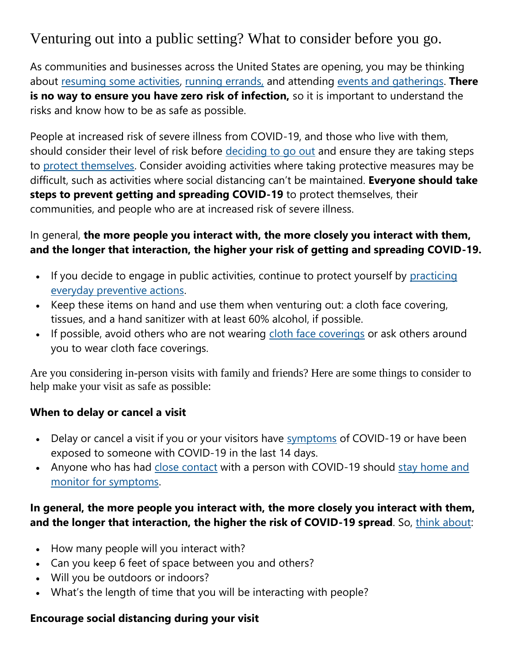## Venturing out into a public setting? What to consider before you go.

As communities and businesses across the United States are opening, you may be thinking about [resuming some activities,](https://www.cdc.gov/coronavirus/2019-ncov/daily-life-coping/going-out.html) [running errands,](https://www.cdc.gov/coronavirus/2019-ncov/daily-life-coping/essential-goods-services.html) and attending [events and gatherings.](https://www.cdc.gov/coronavirus/2019-ncov/community/large-events/considerations-for-events-gatherings.html) **There is no way to ensure you have zero risk of infection,** so it is important to understand the risks and know how to be as safe as possible.

People at increased risk of severe illness from COVID-19, and those who live with them, should consider their level of risk before [deciding to go out](https://www.cdc.gov/coronavirus/2019-ncov/daily-life-coping/deciding-to-go-out.html) and ensure they are taking steps to [protect themselves.](https://www.cdc.gov/coronavirus/2019-ncov/prevent-getting-sick/prevention.html) Consider avoiding activities where taking protective measures may be difficult, such as activities where social distancing can't be maintained. **Everyone should take steps to prevent getting and spreading COVID-19** to protect themselves, their communities, and people who are at increased risk of severe illness.

#### In general, **the more people you interact with, the more closely you interact with them, and the longer that interaction, the higher your risk of getting and spreading COVID-19.**

- If you decide to engage in public activities, continue to protect yourself by practicing [everyday preventive actions.](https://www.cdc.gov/coronavirus/2019-ncov/prevent-getting-sick/prevention.html)
- Keep these items on hand and use them when venturing out: a cloth face covering, tissues, and a hand sanitizer with at least 60% alcohol, if possible.
- If possible, avoid others who are not wearing [cloth face coverings](https://www.cdc.gov/coronavirus/2019-ncov/prevent-getting-sick/diy-cloth-face-coverings.html) or ask others around you to wear cloth face coverings.

Are you considering in-person visits with family and friends? Here are some things to consider to help make your visit as safe as possible:

#### **When to delay or cancel a visit**

- Delay or cancel a visit if you or your visitors have [symptoms](https://www.cdc.gov/coronavirus/2019-ncov/symptoms-testing/symptoms.html) of COVID-19 or have been exposed to someone with COVID-19 in the last 14 days.
- Anyone who has had [close contact](https://www.cdc.gov/coronavirus/2019-ncov/php/public-health-recommendations.html) with a person with COVID-19 should stay home and [monitor for symptoms.](https://www.cdc.gov/coronavirus/2019-ncov/if-you-are-sick/quarantine.html)

#### **In general, the more people you interact with, the more closely you interact with them, and the longer that interaction, the higher the risk of COVID-19 spread**. So, [think about:](https://www.cdc.gov/coronavirus/2019-ncov/daily-life-coping/deciding-to-go-out.html)

- How many people will you interact with?
- Can you keep 6 feet of space between you and others?
- Will you be outdoors or indoors?
- What's the length of time that you will be interacting with people?

#### **Encourage social distancing during your visit**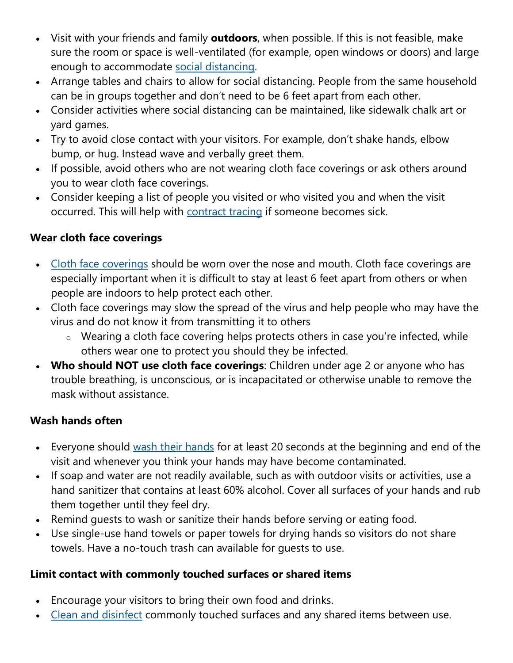- Visit with your friends and family **outdoors**, when possible. If this is not feasible, make sure the room or space is well-ventilated (for example, open windows or doors) and large enough to accommodate [social distancing.](https://www.cdc.gov/coronavirus/2019-ncov/prevent-getting-sick/social-distancing.html)
- Arrange tables and chairs to allow for social distancing. People from the same household can be in groups together and don't need to be 6 feet apart from each other.
- Consider activities where social distancing can be maintained, like sidewalk chalk art or yard games.
- Try to avoid close contact with your visitors. For example, don't shake hands, elbow bump, or hug. Instead wave and verbally greet them.
- If possible, avoid others who are not wearing cloth face coverings or ask others around you to wear cloth face coverings.
- Consider keeping a list of people you visited or who visited you and when the visit occurred. This will help with [contract tracing](https://www.cdc.gov/coronavirus/2019-ncov/php/contact-tracing/index.html) if someone becomes sick.

#### **Wear cloth face coverings**

- [Cloth face coverings](https://www.cdc.gov/coronavirus/2019-ncov/prevent-getting-sick/diy-cloth-face-coverings.html) should be worn over the nose and mouth. Cloth face coverings are especially important when it is difficult to stay at least 6 feet apart from others or when people are indoors to help protect each other.
- Cloth face coverings may slow the spread of the virus and help people who may have the virus and do not know it from transmitting it to others
	- o Wearing a cloth face covering helps protects others in case you're infected, while others wear one to protect you should they be infected.
- **Who should NOT use cloth face coverings**: Children under age 2 or anyone who has trouble breathing, is unconscious, or is incapacitated or otherwise unable to remove the mask without assistance.

#### **Wash hands often**

- Everyone should [wash their hands](https://www.cdc.gov/handwashing/when-how-handwashing.html) for at least 20 seconds at the beginning and end of the visit and whenever you think your hands may have become contaminated.
- If soap and water are not readily available, such as with outdoor visits or activities, use a hand sanitizer that contains at least 60% alcohol. Cover all surfaces of your hands and rub them together until they feel dry.
- Remind quests to wash or sanitize their hands before serving or eating food.
- Use single-use hand towels or paper towels for drying hands so visitors do not share towels. Have a no-touch trash can available for guests to use.

#### **Limit contact with commonly touched surfaces or shared items**

- Encourage your visitors to bring their own food and drinks.
- [Clean and disinfect](https://www.cdc.gov/coronavirus/2019-ncov/prevent-getting-sick/disinfecting-your-home.html) commonly touched surfaces and any shared items between use.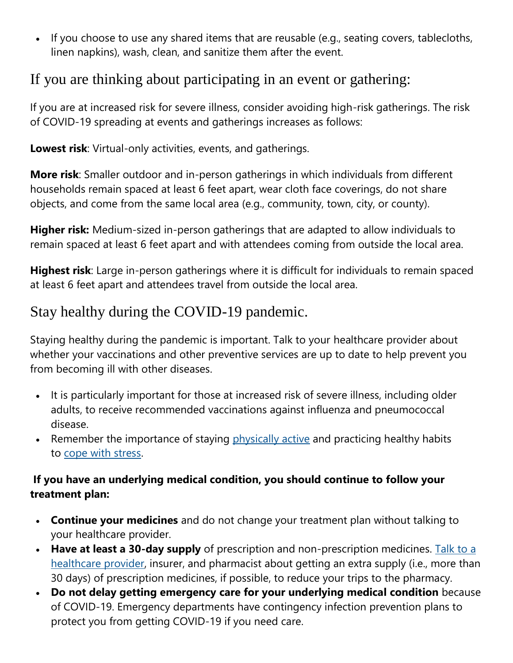• If you choose to use any shared items that are reusable (e.g., seating covers, tablecloths, linen napkins), wash, clean, and sanitize them after the event.

### If you are thinking about participating in an event or gathering:

If you are at increased risk for severe illness, consider avoiding high-risk gatherings. The risk of COVID-19 spreading at events and gatherings increases as follows:

**Lowest risk**: Virtual-only activities, events, and gatherings.

**More risk**: Smaller outdoor and in-person gatherings in which individuals from different households remain spaced at least 6 feet apart, wear cloth face coverings, do not share objects, and come from the same local area (e.g., community, town, city, or county).

**Higher risk:** Medium-sized in-person gatherings that are adapted to allow individuals to remain spaced at least 6 feet apart and with attendees coming from outside the local area.

**Highest risk**: Large in-person gatherings where it is difficult for individuals to remain spaced at least 6 feet apart and attendees travel from outside the local area.

## Stay healthy during the COVID-19 pandemic.

Staying healthy during the pandemic is important. Talk to your healthcare provider about whether your vaccinations and other preventive services are up to date to help prevent you from becoming ill with other diseases.

- It is particularly important for those at increased risk of severe illness, including older adults, to receive recommended vaccinations against influenza and pneumococcal disease.
- Remember the importance of staying [physically active](https://www.cdc.gov/physicalactivity/how-to-be-physically-active-while-social-distancing.html) and practicing healthy habits to [cope with stress.](https://www.cdc.gov/coronavirus/2019-ncov/daily-life-coping/managing-stress-anxiety.html)

#### **If you have an underlying medical condition, you should continue to follow your treatment plan:**

- **Continue your medicines** and do not change your treatment plan without talking to your healthcare provider.
- **Have at least a 30-day supply** of prescription and non-prescription medicines. [Talk to a](https://www.cdc.gov/coronavirus/2019-ncov/daily-life-coping/doctor-visits-medicine.html)  [healthcare provider,](https://www.cdc.gov/coronavirus/2019-ncov/daily-life-coping/doctor-visits-medicine.html) insurer, and pharmacist about getting an extra supply (i.e., more than 30 days) of prescription medicines, if possible, to reduce your trips to the pharmacy.
- **Do not delay getting emergency care for your underlying medical condition** because of COVID-19. Emergency departments have contingency infection prevention plans to protect you from getting COVID-19 if you need care.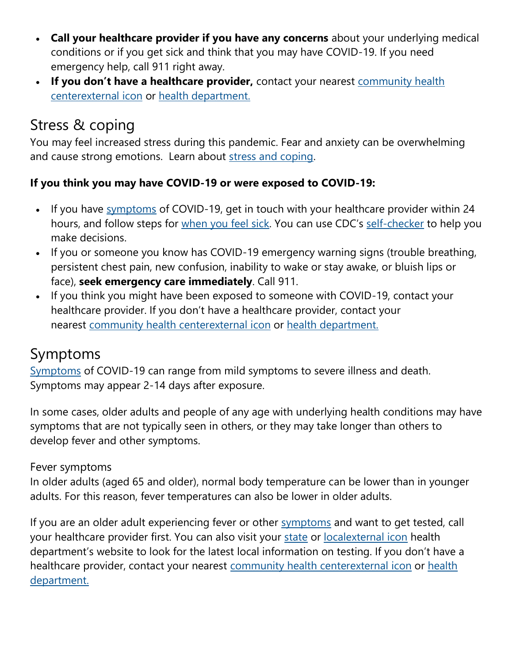- **Call your healthcare provider if you have any concerns** about your underlying medical conditions or if you get sick and think that you may have COVID-19. If you need emergency help, call 911 right away.
- **If you don't have a healthcare provider,** contact your nearest [community health](https://findahealthcenter.hrsa.gov/)  [centerexternal](https://findahealthcenter.hrsa.gov/) icon or [health department.](https://www.cdc.gov/publichealthgateway/healthdirectories/healthdepartments.html)

# Stress & coping

You may feel increased stress during this pandemic. Fear and anxiety can be overwhelming and cause strong emotions. Learn about [stress and coping.](https://www.cdc.gov/coronavirus/2019-ncov/daily-life-coping/managing-stress-anxiety.html)

#### **If you think you may have COVID-19 or were exposed to COVID-19:**

- If you have [symptoms](https://www.cdc.gov/coronavirus/2019-ncov/symptoms-testing/symptoms.html) of COVID-19, get in touch with your healthcare provider within 24 hours, and follow steps for [when you feel sick](https://www.cdc.gov/coronavirus/2019-ncov/if-you-are-sick/steps-when-sick.html). You can use CDC's [self-checker](https://www.cdc.gov/coronavirus/2019-ncov/symptoms-testing/symptoms.html) to help you make decisions.
- If you or someone you know has COVID-19 emergency warning signs (trouble breathing, persistent chest pain, new confusion, inability to wake or stay awake, or bluish lips or face), **seek emergency care immediately**. Call 911.
- If you think you might have been exposed to someone with COVID-19, contact your healthcare provider. If you don't have a healthcare provider, contact your nearest [community health centerexternal](https://findahealthcenter.hrsa.gov/) icon or [health department.](https://www.cdc.gov/publichealthgateway/healthdirectories/healthdepartments.html)

# Symptoms

[Symptoms](https://www.cdc.gov/coronavirus/2019-ncov/symptoms-testing/symptoms.html) of COVID-19 can range from mild symptoms to severe illness and death. Symptoms may appear 2-14 days after exposure.

In some cases, older adults and people of any age with underlying health conditions may have symptoms that are not typically seen in others, or they may take longer than others to develop fever and other symptoms.

#### Fever symptoms

In older adults (aged 65 and older), normal body temperature can be lower than in younger adults. For this reason, fever temperatures can also be lower in older adults.

If you are an older adult experiencing fever or other [symptoms](https://www.cdc.gov/coronavirus/2019-ncov/symptoms-testing/symptoms.html) and want to get tested, call your healthcare provider first. You can also visit your [state](https://www.cdc.gov/publichealthgateway/healthdirectories/healthdepartments.html) or [localexternal](https://www.naccho.org/membership/lhd-directory) icon health department's website to look for the latest local information on testing. If you don't have a healthcare provider, contact your nearest [community health centerexternal](https://findahealthcenter.hrsa.gov/) icon or [health](https://www.cdc.gov/publichealthgateway/healthdirectories/healthdepartments.html)  [department.](https://www.cdc.gov/publichealthgateway/healthdirectories/healthdepartments.html)